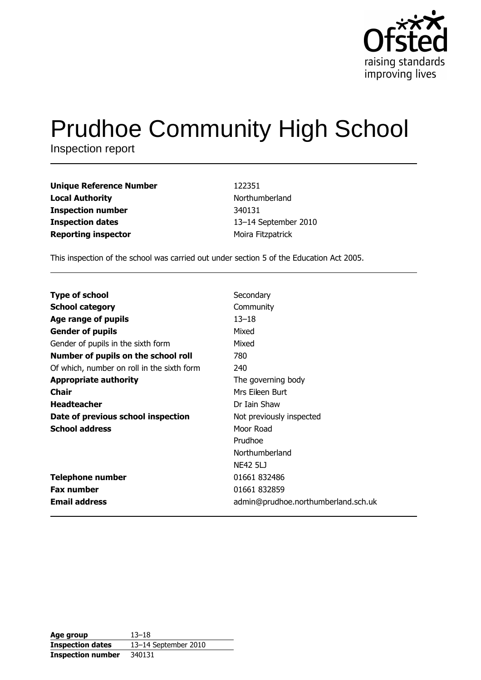

# **Prudhoe Community High School**

Inspection report

| <b>Unique Reference Number</b> | 122351               |
|--------------------------------|----------------------|
| <b>Local Authority</b>         | Northumberland       |
| <b>Inspection number</b>       | 340131               |
| <b>Inspection dates</b>        | 13-14 September 2010 |
| <b>Reporting inspector</b>     | Moira Fitzpatrick    |

This inspection of the school was carried out under section 5 of the Education Act 2005.

| <b>Type of school</b>                      | Secondary                           |
|--------------------------------------------|-------------------------------------|
|                                            |                                     |
| <b>School category</b>                     | Community                           |
| Age range of pupils                        | $13 - 18$                           |
| <b>Gender of pupils</b>                    | Mixed                               |
| Gender of pupils in the sixth form         | Mixed                               |
| Number of pupils on the school roll        | 780                                 |
| Of which, number on roll in the sixth form | 240                                 |
| <b>Appropriate authority</b>               | The governing body                  |
| Chair                                      | Mrs Fileen Burt                     |
| <b>Headteacher</b>                         | Dr Iain Shaw                        |
| Date of previous school inspection         | Not previously inspected            |
| <b>School address</b>                      | Moor Road                           |
|                                            | Prudhoe                             |
|                                            | Northumberland                      |
|                                            | <b>NE42 5LJ</b>                     |
| <b>Telephone number</b>                    | 01661 832486                        |
| <b>Fax number</b>                          | 01661 832859                        |
| <b>Email address</b>                       | admin@prudhoe.northumberland.sch.uk |

| Age group                | $13 - 18$            |
|--------------------------|----------------------|
| <b>Inspection dates</b>  | 13-14 September 2010 |
| <b>Inspection number</b> | 340131               |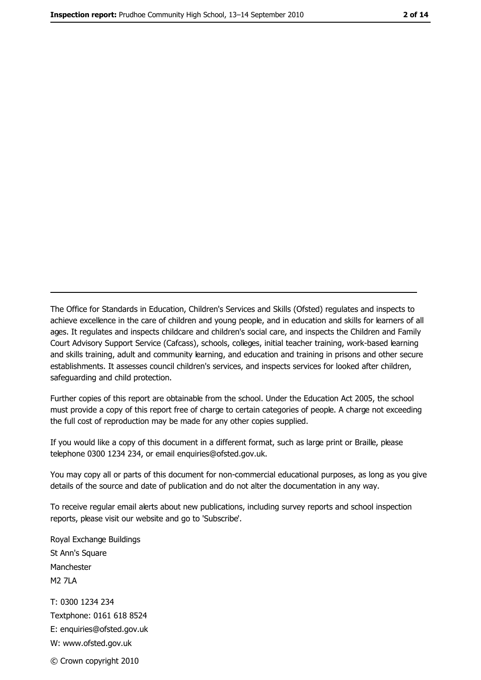The Office for Standards in Education, Children's Services and Skills (Ofsted) regulates and inspects to achieve excellence in the care of children and young people, and in education and skills for learners of all ages. It regulates and inspects childcare and children's social care, and inspects the Children and Family Court Advisory Support Service (Cafcass), schools, colleges, initial teacher training, work-based learning and skills training, adult and community learning, and education and training in prisons and other secure establishments. It assesses council children's services, and inspects services for looked after children, safeguarding and child protection.

Further copies of this report are obtainable from the school. Under the Education Act 2005, the school must provide a copy of this report free of charge to certain categories of people. A charge not exceeding the full cost of reproduction may be made for any other copies supplied.

If you would like a copy of this document in a different format, such as large print or Braille, please telephone 0300 1234 234, or email enquiries@ofsted.gov.uk.

You may copy all or parts of this document for non-commercial educational purposes, as long as you give details of the source and date of publication and do not alter the documentation in any way.

To receive regular email alerts about new publications, including survey reports and school inspection reports, please visit our website and go to 'Subscribe'.

Royal Exchange Buildings St Ann's Square Manchester **M2 7I A** T: 0300 1234 234 Textphone: 0161 618 8524 E: enquiries@ofsted.gov.uk W: www.ofsted.gov.uk © Crown copyright 2010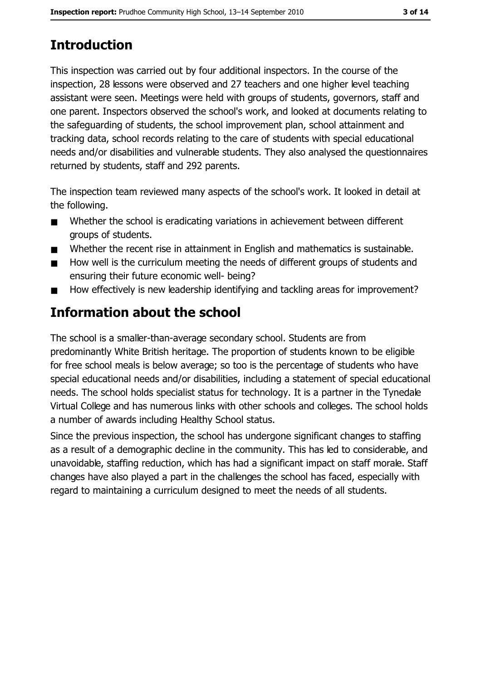# **Introduction**

This inspection was carried out by four additional inspectors. In the course of the inspection, 28 lessons were observed and 27 teachers and one higher level teaching assistant were seen. Meetings were held with groups of students, governors, staff and one parent. Inspectors observed the school's work, and looked at documents relating to the safeguarding of students, the school improvement plan, school attainment and tracking data, school records relating to the care of students with special educational needs and/or disabilities and vulnerable students. They also analysed the questionnaires returned by students, staff and 292 parents.

The inspection team reviewed many aspects of the school's work. It looked in detail at the following.

- Whether the school is eradicating variations in achievement between different  $\blacksquare$ groups of students.
- Whether the recent rise in attainment in English and mathematics is sustainable.  $\blacksquare$
- How well is the curriculum meeting the needs of different groups of students and  $\blacksquare$ ensuring their future economic well- being?
- How effectively is new leadership identifying and tackling areas for improvement?  $\blacksquare$

# **Information about the school**

The school is a smaller-than-average secondary school. Students are from predominantly White British heritage. The proportion of students known to be eligible for free school meals is below average; so too is the percentage of students who have special educational needs and/or disabilities, including a statement of special educational needs. The school holds specialist status for technology. It is a partner in the Tynedale Virtual College and has numerous links with other schools and colleges. The school holds a number of awards including Healthy School status.

Since the previous inspection, the school has undergone significant changes to staffing as a result of a demographic decline in the community. This has led to considerable, and unavoidable, staffing reduction, which has had a significant impact on staff morale. Staff changes have also played a part in the challenges the school has faced, especially with regard to maintaining a curriculum designed to meet the needs of all students.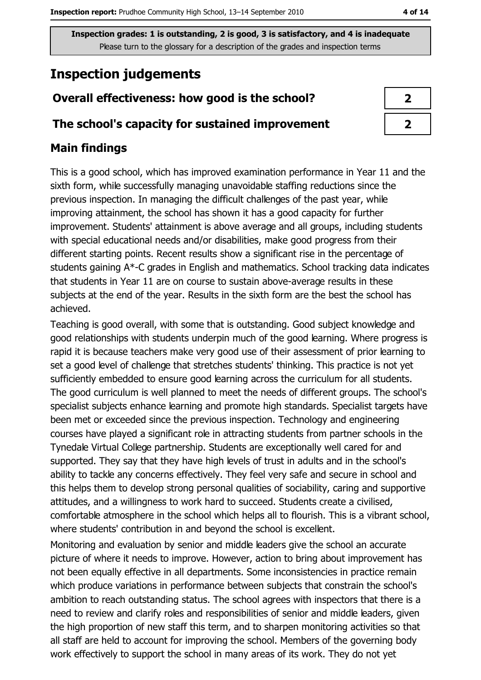# **Inspection judgements**

## Overall effectiveness: how good is the school?

### The school's capacity for sustained improvement

## **Main findings**

This is a good school, which has improved examination performance in Year 11 and the sixth form, while successfully managing unavoidable staffing reductions since the previous inspection. In managing the difficult challenges of the past year, while improving attainment, the school has shown it has a good capacity for further improvement. Students' attainment is above average and all groups, including students with special educational needs and/or disabilities, make good progress from their different starting points. Recent results show a significant rise in the percentage of students gaining A\*-C grades in English and mathematics. School tracking data indicates that students in Year 11 are on course to sustain above-average results in these subjects at the end of the year. Results in the sixth form are the best the school has achieved.

Teaching is good overall, with some that is outstanding. Good subject knowledge and good relationships with students underpin much of the good learning. Where progress is rapid it is because teachers make very good use of their assessment of prior learning to set a good level of challenge that stretches students' thinking. This practice is not yet sufficiently embedded to ensure good learning across the curriculum for all students. The good curriculum is well planned to meet the needs of different groups. The school's specialist subjects enhance learning and promote high standards. Specialist targets have been met or exceeded since the previous inspection. Technology and engineering courses have played a significant role in attracting students from partner schools in the Tynedale Virtual College partnership. Students are exceptionally well cared for and supported. They say that they have high levels of trust in adults and in the school's ability to tackle any concerns effectively. They feel very safe and secure in school and this helps them to develop strong personal qualities of sociability, caring and supportive attitudes, and a willingness to work hard to succeed. Students create a civilised, comfortable atmosphere in the school which helps all to flourish. This is a vibrant school, where students' contribution in and beyond the school is excellent.

Monitoring and evaluation by senior and middle leaders give the school an accurate picture of where it needs to improve. However, action to bring about improvement has not been equally effective in all departments. Some inconsistencies in practice remain which produce variations in performance between subjects that constrain the school's ambition to reach outstanding status. The school agrees with inspectors that there is a need to review and clarify roles and responsibilities of senior and middle leaders, given the high proportion of new staff this term, and to sharpen monitoring activities so that all staff are held to account for improving the school. Members of the governing body work effectively to support the school in many areas of its work. They do not yet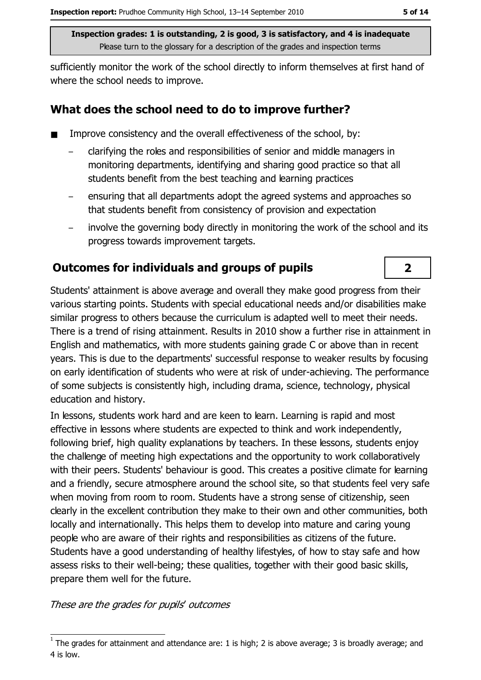sufficiently monitor the work of the school directly to inform themselves at first hand of where the school needs to improve.

## What does the school need to do to improve further?

- Improve consistency and the overall effectiveness of the school, by:  $\blacksquare$ 
	- clarifying the roles and responsibilities of senior and middle managers in monitoring departments, identifying and sharing good practice so that all students benefit from the best teaching and learning practices
	- ensuring that all departments adopt the agreed systems and approaches so that students benefit from consistency of provision and expectation
	- involve the governing body directly in monitoring the work of the school and its progress towards improvement targets.

## **Outcomes for individuals and groups of pupils**

Students' attainment is above average and overall they make good progress from their various starting points. Students with special educational needs and/or disabilities make similar progress to others because the curriculum is adapted well to meet their needs. There is a trend of rising attainment. Results in 2010 show a further rise in attainment in English and mathematics, with more students gaining grade C or above than in recent years. This is due to the departments' successful response to weaker results by focusing on early identification of students who were at risk of under-achieving. The performance of some subjects is consistently high, including drama, science, technology, physical education and history.

In lessons, students work hard and are keen to learn. Learning is rapid and most effective in lessons where students are expected to think and work independently, following brief, high quality explanations by teachers. In these lessons, students enjoy the challenge of meeting high expectations and the opportunity to work collaboratively with their peers. Students' behaviour is good. This creates a positive climate for learning and a friendly, secure atmosphere around the school site, so that students feel very safe when moving from room to room. Students have a strong sense of citizenship, seen clearly in the excellent contribution they make to their own and other communities, both locally and internationally. This helps them to develop into mature and caring young people who are aware of their rights and responsibilities as citizens of the future. Students have a good understanding of healthy lifestyles, of how to stay safe and how assess risks to their well-being; these qualities, together with their good basic skills, prepare them well for the future.

These are the grades for pupils' outcomes

 $\overline{2}$ 

The grades for attainment and attendance are: 1 is high; 2 is above average; 3 is broadly average; and 4 is low.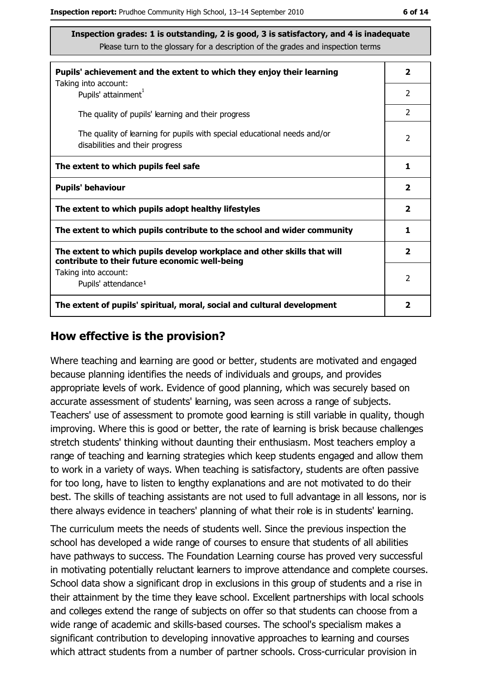| Pupils' achievement and the extent to which they enjoy their learning<br>Taking into account:                             | $\mathbf{2}$            |
|---------------------------------------------------------------------------------------------------------------------------|-------------------------|
| Pupils' attainment <sup>1</sup>                                                                                           | 2                       |
| The quality of pupils' learning and their progress                                                                        | 2                       |
| The quality of learning for pupils with special educational needs and/or<br>disabilities and their progress               | $\overline{2}$          |
| The extent to which pupils feel safe                                                                                      | 1                       |
| <b>Pupils' behaviour</b>                                                                                                  | $\overline{\mathbf{2}}$ |
| The extent to which pupils adopt healthy lifestyles                                                                       | $\overline{\mathbf{2}}$ |
| The extent to which pupils contribute to the school and wider community                                                   | 1                       |
| The extent to which pupils develop workplace and other skills that will<br>contribute to their future economic well-being | $\overline{\mathbf{2}}$ |
| Taking into account:                                                                                                      | $\overline{2}$          |
| Pupils' attendance <sup>1</sup>                                                                                           |                         |
| The extent of pupils' spiritual, moral, social and cultural development                                                   | 2                       |

#### How effective is the provision?

Where teaching and learning are good or better, students are motivated and engaged because planning identifies the needs of individuals and groups, and provides appropriate levels of work. Evidence of good planning, which was securely based on accurate assessment of students' learning, was seen across a range of subjects. Teachers' use of assessment to promote good learning is still variable in quality, though improving. Where this is good or better, the rate of learning is brisk because challenges stretch students' thinking without daunting their enthusiasm. Most teachers employ a range of teaching and learning strategies which keep students engaged and allow them to work in a variety of ways. When teaching is satisfactory, students are often passive for too long, have to listen to lengthy explanations and are not motivated to do their best. The skills of teaching assistants are not used to full advantage in all lessons, nor is there always evidence in teachers' planning of what their role is in students' learning.

The curriculum meets the needs of students well. Since the previous inspection the school has developed a wide range of courses to ensure that students of all abilities have pathways to success. The Foundation Learning course has proved very successful in motivating potentially reluctant learners to improve attendance and complete courses. School data show a significant drop in exclusions in this group of students and a rise in their attainment by the time they leave school. Excellent partnerships with local schools and colleges extend the range of subjects on offer so that students can choose from a wide range of academic and skills-based courses. The school's specialism makes a significant contribution to developing innovative approaches to learning and courses which attract students from a number of partner schools. Cross-curricular provision in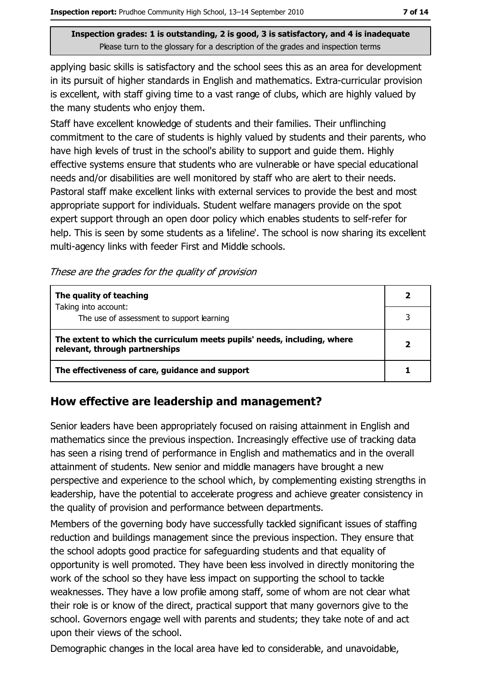applying basic skills is satisfactory and the school sees this as an area for development in its pursuit of higher standards in English and mathematics. Extra-curricular provision is excellent, with staff giving time to a vast range of clubs, which are highly valued by the many students who enjoy them.

Staff have excellent knowledge of students and their families. Their unflinching commitment to the care of students is highly valued by students and their parents, who have high levels of trust in the school's ability to support and guide them. Highly effective systems ensure that students who are vulnerable or have special educational needs and/or disabilities are well monitored by staff who are alert to their needs. Pastoral staff make excellent links with external services to provide the best and most appropriate support for individuals. Student welfare managers provide on the spot expert support through an open door policy which enables students to self-refer for help. This is seen by some students as a lifeline'. The school is now sharing its excellent multi-agency links with feeder First and Middle schools.

These are the grades for the quality of provision

| The quality of teaching                                                                                    |  |
|------------------------------------------------------------------------------------------------------------|--|
| Taking into account:<br>The use of assessment to support learning                                          |  |
|                                                                                                            |  |
| The extent to which the curriculum meets pupils' needs, including, where<br>relevant, through partnerships |  |
| The effectiveness of care, guidance and support                                                            |  |

## How effective are leadership and management?

Senior leaders have been appropriately focused on raising attainment in English and mathematics since the previous inspection. Increasingly effective use of tracking data has seen a rising trend of performance in English and mathematics and in the overall attainment of students. New senior and middle managers have brought a new perspective and experience to the school which, by complementing existing strengths in leadership, have the potential to accelerate progress and achieve greater consistency in the quality of provision and performance between departments.

Members of the governing body have successfully tackled significant issues of staffing reduction and buildings management since the previous inspection. They ensure that the school adopts good practice for safeguarding students and that equality of opportunity is well promoted. They have been less involved in directly monitoring the work of the school so they have less impact on supporting the school to tackle weaknesses. They have a low profile among staff, some of whom are not clear what their role is or know of the direct, practical support that many governors give to the school. Governors engage well with parents and students; they take note of and act upon their views of the school.

Demographic changes in the local area have led to considerable, and unavoidable,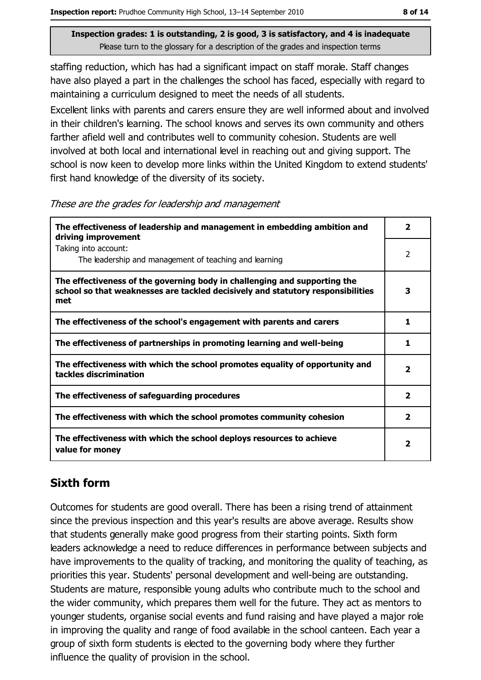staffing reduction, which has had a significant impact on staff morale. Staff changes have also played a part in the challenges the school has faced, especially with regard to maintaining a curriculum designed to meet the needs of all students.

Excellent links with parents and carers ensure they are well informed about and involved in their children's learning. The school knows and serves its own community and others farther afield well and contributes well to community cohesion. Students are well involved at both local and international level in reaching out and giving support. The school is now keen to develop more links within the United Kingdom to extend students' first hand knowledge of the diversity of its society.

These are the grades for leadership and management

| The effectiveness of leadership and management in embedding ambition and<br>driving improvement                                                                     | $\overline{\mathbf{2}}$ |
|---------------------------------------------------------------------------------------------------------------------------------------------------------------------|-------------------------|
| Taking into account:<br>The leadership and management of teaching and learning                                                                                      | 2                       |
| The effectiveness of the governing body in challenging and supporting the<br>school so that weaknesses are tackled decisively and statutory responsibilities<br>met | 3                       |
| The effectiveness of the school's engagement with parents and carers                                                                                                | 1                       |
| The effectiveness of partnerships in promoting learning and well-being                                                                                              | 1                       |
| The effectiveness with which the school promotes equality of opportunity and<br>tackles discrimination                                                              | $\overline{\mathbf{2}}$ |
| The effectiveness of safeguarding procedures                                                                                                                        | $\overline{\mathbf{2}}$ |
| The effectiveness with which the school promotes community cohesion                                                                                                 | $\mathbf{2}$            |
| The effectiveness with which the school deploys resources to achieve<br>value for money                                                                             | $\mathbf{2}$            |

## **Sixth form**

Outcomes for students are good overall. There has been a rising trend of attainment since the previous inspection and this year's results are above average. Results show that students generally make good progress from their starting points. Sixth form leaders acknowledge a need to reduce differences in performance between subjects and have improvements to the quality of tracking, and monitoring the quality of teaching, as priorities this year. Students' personal development and well-being are outstanding. Students are mature, responsible young adults who contribute much to the school and the wider community, which prepares them well for the future. They act as mentors to younger students, organise social events and fund raising and have played a major role in improving the quality and range of food available in the school canteen. Each year a group of sixth form students is elected to the governing body where they further influence the quality of provision in the school.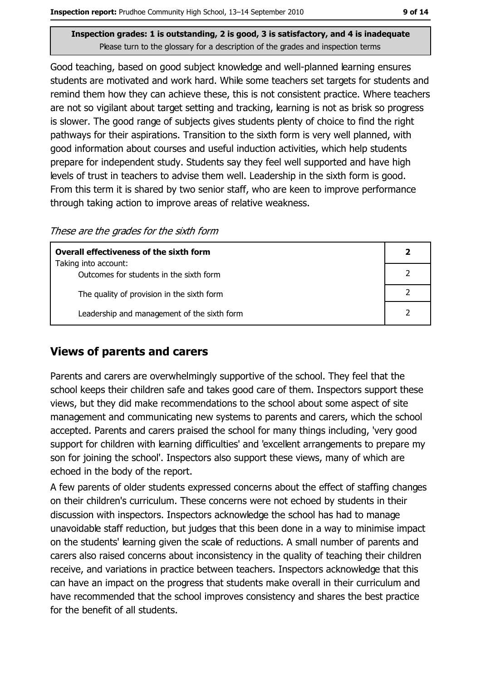Good teaching, based on good subject knowledge and well-planned learning ensures students are motivated and work hard. While some teachers set targets for students and remind them how they can achieve these, this is not consistent practice. Where teachers are not so vigilant about target setting and tracking, learning is not as brisk so progress is slower. The good range of subjects gives students plenty of choice to find the right pathways for their aspirations. Transition to the sixth form is very well planned, with good information about courses and useful induction activities, which help students prepare for independent study. Students say they feel well supported and have high levels of trust in teachers to advise them well. Leadership in the sixth form is good. From this term it is shared by two senior staff, who are keen to improve performance through taking action to improve areas of relative weakness.

These are the grades for the sixth form

| <b>Overall effectiveness of the sixth form</b>                  |  |  |
|-----------------------------------------------------------------|--|--|
| Taking into account:<br>Outcomes for students in the sixth form |  |  |
| The quality of provision in the sixth form                      |  |  |
| Leadership and management of the sixth form                     |  |  |

## **Views of parents and carers**

Parents and carers are overwhelmingly supportive of the school. They feel that the school keeps their children safe and takes good care of them. Inspectors support these views, but they did make recommendations to the school about some aspect of site management and communicating new systems to parents and carers, which the school accepted. Parents and carers praised the school for many things including, 'very good support for children with learning difficulties' and 'excellent arrangements to prepare my son for joining the school'. Inspectors also support these views, many of which are echoed in the body of the report.

A few parents of older students expressed concerns about the effect of staffing changes on their children's curriculum. These concerns were not echoed by students in their discussion with inspectors. Inspectors acknowledge the school has had to manage unavoidable staff reduction, but judges that this been done in a way to minimise impact on the students' learning given the scale of reductions. A small number of parents and carers also raised concerns about inconsistency in the quality of teaching their children receive, and variations in practice between teachers. Inspectors acknowledge that this can have an impact on the progress that students make overall in their curriculum and have recommended that the school improves consistency and shares the best practice for the benefit of all students.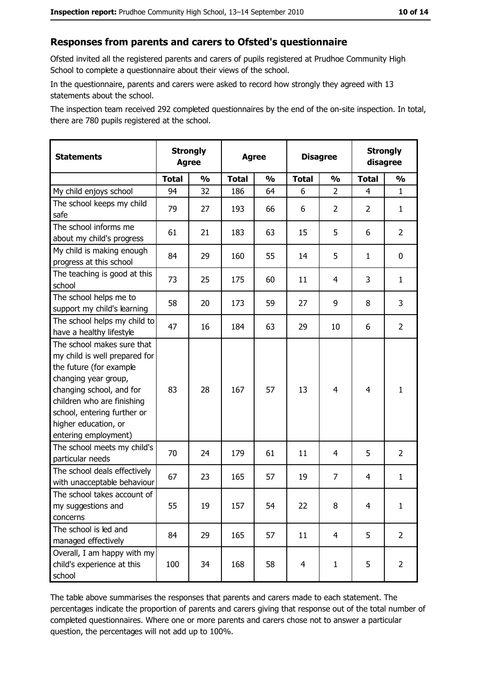#### Responses from parents and carers to Ofsted's questionnaire

Ofsted invited all the registered parents and carers of pupils registered at Prudhoe Community High School to complete a questionnaire about their views of the school.

In the questionnaire, parents and carers were asked to record how strongly they agreed with 13 statements about the school.

The inspection team received 292 completed questionnaires by the end of the on-site inspection. In total, there are 780 pupils registered at the school.

| <b>Statements</b>                                                                                                                                                                                                                                       | <b>Strongly</b><br><b>Agree</b> |               | <b>Agree</b> |               | <b>Disagree</b> |                | <b>Strongly</b><br>disagree |                |
|---------------------------------------------------------------------------------------------------------------------------------------------------------------------------------------------------------------------------------------------------------|---------------------------------|---------------|--------------|---------------|-----------------|----------------|-----------------------------|----------------|
|                                                                                                                                                                                                                                                         | <b>Total</b>                    | $\frac{1}{2}$ | <b>Total</b> | $\frac{0}{0}$ | <b>Total</b>    | $\frac{1}{2}$  | <b>Total</b>                | $\frac{1}{2}$  |
| My child enjoys school                                                                                                                                                                                                                                  | 94                              | 32            | 186          | 64            | 6               | $\overline{2}$ | 4                           | $\mathbf{1}$   |
| The school keeps my child<br>safe                                                                                                                                                                                                                       | 79                              | 27            | 193          | 66            | 6               | $\overline{2}$ | $\overline{2}$              | $\mathbf{1}$   |
| The school informs me<br>about my child's progress                                                                                                                                                                                                      | 61                              | 21            | 183          | 63            | 15              | 5              | 6                           | $\overline{2}$ |
| My child is making enough<br>progress at this school                                                                                                                                                                                                    | 84                              | 29            | 160          | 55            | 14              | 5              | $\mathbf{1}$                | 0              |
| The teaching is good at this<br>school                                                                                                                                                                                                                  | 73                              | 25            | 175          | 60            | 11              | 4              | 3                           | $\mathbf{1}$   |
| The school helps me to<br>support my child's learning                                                                                                                                                                                                   | 58                              | 20            | 173          | 59            | 27              | 9              | 8                           | 3              |
| The school helps my child to<br>have a healthy lifestyle                                                                                                                                                                                                | 47                              | 16            | 184          | 63            | 29              | 10             | 6                           | $\overline{2}$ |
| The school makes sure that<br>my child is well prepared for<br>the future (for example<br>changing year group,<br>changing school, and for<br>children who are finishing<br>school, entering further or<br>higher education, or<br>entering employment) | 83                              | 28            | 167          | 57            | 13              | 4              | $\overline{4}$              | $\mathbf{1}$   |
| The school meets my child's<br>particular needs                                                                                                                                                                                                         | 70                              | 24            | 179          | 61            | 11              | 4              | 5                           | $\overline{2}$ |
| The school deals effectively<br>with unacceptable behaviour                                                                                                                                                                                             | 67                              | 23            | 165          | 57            | 19              | 7              | 4                           | $\mathbf{1}$   |
| The school takes account of<br>my suggestions and<br>concerns                                                                                                                                                                                           | 55                              | 19            | 157          | 54            | 22              | 8              | $\overline{4}$              | $\mathbf{1}$   |
| The school is led and<br>managed effectively                                                                                                                                                                                                            | 84                              | 29            | 165          | 57            | 11              | 4              | 5                           | $\overline{2}$ |
| Overall, I am happy with my<br>child's experience at this<br>school                                                                                                                                                                                     | 100                             | 34            | 168          | 58            | $\overline{4}$  | $\mathbf{1}$   | 5                           | $\overline{2}$ |

The table above summarises the responses that parents and carers made to each statement. The percentages indicate the proportion of parents and carers giving that response out of the total number of completed questionnaires. Where one or more parents and carers chose not to answer a particular question, the percentages will not add up to 100%.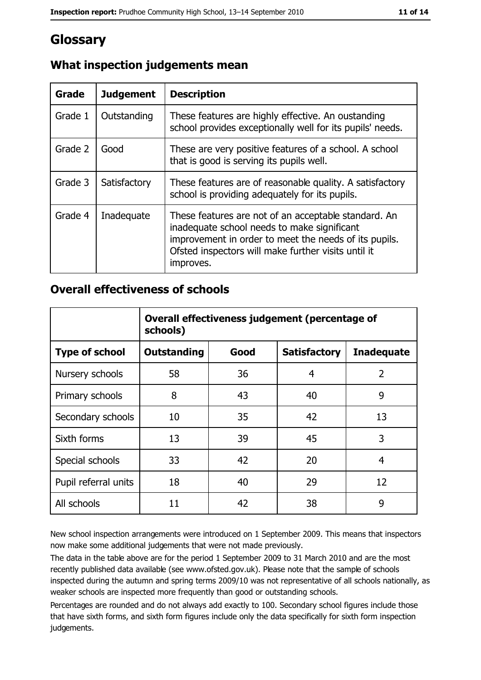## Glossary

| <b>Grade</b> | <b>Judgement</b> | <b>Description</b>                                                                                                                                                                                                               |
|--------------|------------------|----------------------------------------------------------------------------------------------------------------------------------------------------------------------------------------------------------------------------------|
| Grade 1      | Outstanding      | These features are highly effective. An oustanding<br>school provides exceptionally well for its pupils' needs.                                                                                                                  |
| Grade 2      | Good             | These are very positive features of a school. A school<br>that is good is serving its pupils well.                                                                                                                               |
| Grade 3      | Satisfactory     | These features are of reasonable quality. A satisfactory<br>school is providing adequately for its pupils.                                                                                                                       |
| Grade 4      | Inadequate       | These features are not of an acceptable standard. An<br>inadequate school needs to make significant<br>improvement in order to meet the needs of its pupils.<br>Ofsted inspectors will make further visits until it<br>improves. |

## What inspection judgements mean

## **Overall effectiveness of schools**

|                       | Overall effectiveness judgement (percentage of<br>schools) |      |                     |                   |
|-----------------------|------------------------------------------------------------|------|---------------------|-------------------|
| <b>Type of school</b> | <b>Outstanding</b>                                         | Good | <b>Satisfactory</b> | <b>Inadequate</b> |
| Nursery schools       | 58                                                         | 36   | 4                   | $\overline{2}$    |
| Primary schools       | 8                                                          | 43   | 40                  | 9                 |
| Secondary schools     | 10                                                         | 35   | 42                  | 13                |
| Sixth forms           | 13                                                         | 39   | 45                  | 3                 |
| Special schools       | 33                                                         | 42   | 20                  | 4                 |
| Pupil referral units  | 18                                                         | 40   | 29                  | 12                |
| All schools           | 11                                                         | 42   | 38                  | 9                 |

New school inspection arrangements were introduced on 1 September 2009. This means that inspectors now make some additional judgements that were not made previously.

The data in the table above are for the period 1 September 2009 to 31 March 2010 and are the most recently published data available (see www.ofsted.gov.uk). Please note that the sample of schools inspected during the autumn and spring terms 2009/10 was not representative of all schools nationally, as weaker schools are inspected more frequently than good or outstanding schools.

Percentages are rounded and do not always add exactly to 100. Secondary school figures include those that have sixth forms, and sixth form figures include only the data specifically for sixth form inspection judgements.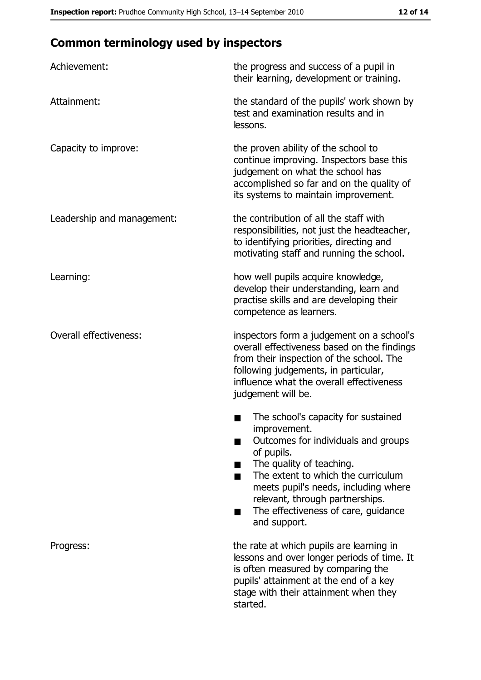# **Common terminology used by inspectors**

| Achievement:                  | the progress and success of a pupil in<br>their learning, development or training.                                                                                                                                                                                                                           |
|-------------------------------|--------------------------------------------------------------------------------------------------------------------------------------------------------------------------------------------------------------------------------------------------------------------------------------------------------------|
| Attainment:                   | the standard of the pupils' work shown by<br>test and examination results and in<br>lessons.                                                                                                                                                                                                                 |
| Capacity to improve:          | the proven ability of the school to<br>continue improving. Inspectors base this<br>judgement on what the school has<br>accomplished so far and on the quality of<br>its systems to maintain improvement.                                                                                                     |
| Leadership and management:    | the contribution of all the staff with<br>responsibilities, not just the headteacher,<br>to identifying priorities, directing and<br>motivating staff and running the school.                                                                                                                                |
| Learning:                     | how well pupils acquire knowledge,<br>develop their understanding, learn and<br>practise skills and are developing their<br>competence as learners.                                                                                                                                                          |
| <b>Overall effectiveness:</b> | inspectors form a judgement on a school's<br>overall effectiveness based on the findings<br>from their inspection of the school. The<br>following judgements, in particular,<br>influence what the overall effectiveness<br>judgement will be.                                                               |
|                               | The school's capacity for sustained<br>improvement.<br>Outcomes for individuals and groups<br>of pupils.<br>The quality of teaching.<br>The extent to which the curriculum<br>meets pupil's needs, including where<br>relevant, through partnerships.<br>The effectiveness of care, guidance<br>and support. |
| Progress:                     | the rate at which pupils are learning in<br>lessons and over longer periods of time. It<br>is often measured by comparing the<br>pupils' attainment at the end of a key<br>stage with their attainment when they<br>started.                                                                                 |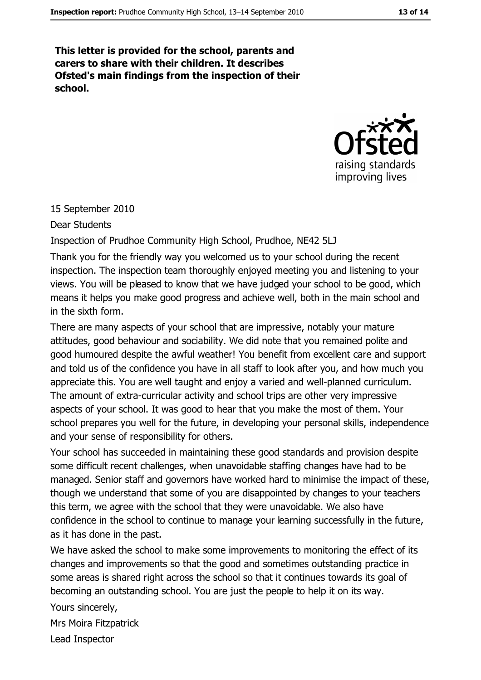This letter is provided for the school, parents and carers to share with their children. It describes Ofsted's main findings from the inspection of their school.



15 September 2010

**Dear Students** 

Inspection of Prudhoe Community High School, Prudhoe, NE42 5LJ

Thank you for the friendly way you welcomed us to your school during the recent inspection. The inspection team thoroughly enjoyed meeting you and listening to your views. You will be pleased to know that we have judged your school to be good, which means it helps you make good progress and achieve well, both in the main school and in the sixth form.

There are many aspects of your school that are impressive, notably your mature attitudes, good behaviour and sociability. We did note that you remained polite and good humoured despite the awful weather! You benefit from excellent care and support and told us of the confidence you have in all staff to look after you, and how much you appreciate this. You are well taught and enjoy a varied and well-planned curriculum. The amount of extra-curricular activity and school trips are other very impressive aspects of your school. It was good to hear that you make the most of them. Your school prepares you well for the future, in developing your personal skills, independence and your sense of responsibility for others.

Your school has succeeded in maintaining these good standards and provision despite some difficult recent challenges, when unavoidable staffing changes have had to be managed. Senior staff and governors have worked hard to minimise the impact of these, though we understand that some of you are disappointed by changes to your teachers this term, we agree with the school that they were unavoidable. We also have confidence in the school to continue to manage your learning successfully in the future, as it has done in the past.

We have asked the school to make some improvements to monitoring the effect of its changes and improvements so that the good and sometimes outstanding practice in some areas is shared right across the school so that it continues towards its goal of becoming an outstanding school. You are just the people to help it on its way.

Yours sincerely,

Mrs Moira Fitzpatrick

Lead Inspector